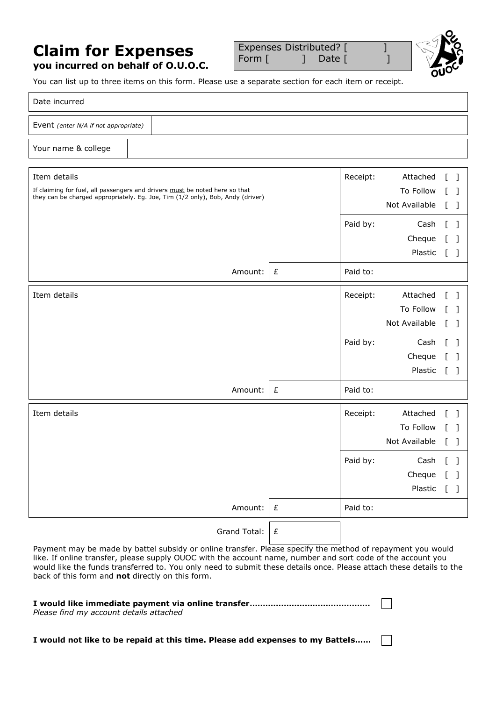## **Claim for Expenses you incurred on behalf of O.U.O.C.**

Expenses Distributed? [ ] Form [ ] Date [ ]



You can list up to three items on this form. Please use a separate section for each item or receipt.

| Date incurred                        |                                                                                |                                                                                                                   |  |  |  |  |  |
|--------------------------------------|--------------------------------------------------------------------------------|-------------------------------------------------------------------------------------------------------------------|--|--|--|--|--|
| Event (enter N/A if not appropriate) |                                                                                |                                                                                                                   |  |  |  |  |  |
| Your name & college                  |                                                                                |                                                                                                                   |  |  |  |  |  |
| Item details                         | If claiming for fuel, all passengers and drivers must be noted here so that    | Attached<br>Receipt:<br>- 1<br>To Follow<br>L<br>- 1                                                              |  |  |  |  |  |
|                                      | they can be charged appropriately. Eg. Joe, Tim (1/2 only), Bob, Andy (driver) | Not Available<br>L<br>- 1                                                                                         |  |  |  |  |  |
|                                      |                                                                                | Paid by:<br>Cash<br>$\mathbf{I}$<br>- 1<br>Cheque<br>-1<br>Plastic<br>$\mathbf{r}$<br>$\Box$                      |  |  |  |  |  |
|                                      | Amount:<br>£                                                                   | Paid to:                                                                                                          |  |  |  |  |  |
| Item details                         |                                                                                | Receipt:<br>Attached<br>To Follow<br>$\mathbf{I}$<br>- 1<br>Not Available<br>- 1<br>L                             |  |  |  |  |  |
|                                      |                                                                                | Paid by:<br>Cash<br>T.<br>$\Box$<br>Cheque<br>$\mathbf{L}$<br>$\blacksquare$<br>Plastic<br>$\mathbb{L}$<br>$\Box$ |  |  |  |  |  |
|                                      | Amount:<br>£                                                                   | Paid to:                                                                                                          |  |  |  |  |  |
| Item details                         |                                                                                | Receipt:<br>Attached<br>To Follow<br>$\blacksquare$<br>Not Available<br>$\mathbf{L}$<br>- 1                       |  |  |  |  |  |
|                                      |                                                                                | Paid by:<br>Cash<br>Cheque [ ]<br>Plastic<br>$\lceil$                                                             |  |  |  |  |  |
|                                      | Amount:<br>$\pounds$                                                           | Paid to:                                                                                                          |  |  |  |  |  |
|                                      | Grand Total:<br>$\pounds$                                                      |                                                                                                                   |  |  |  |  |  |

Payment may be made by battel subsidy or online transfer. Please specify the method of repayment you would like. If online transfer, please supply OUOC with the account name, number and sort code of the account you would like the funds transferred to. You only need to submit these details once. Please attach these details to the back of this form and **not** directly on this form.

 $\Box$ 

| Please find my account details attached |  |  |  |
|-----------------------------------------|--|--|--|

**I would not like to be repaid at this time. Please add expenses to my Battels……**